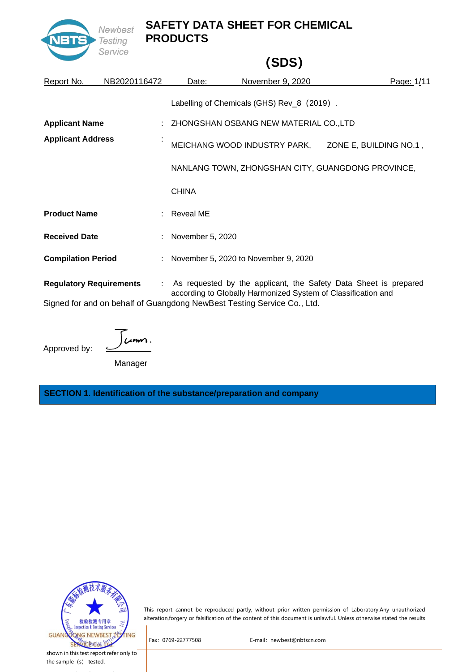

## **(SDS)**

| Report No.                | NB2020116472                   | Date:              | November 9, 2020                                                       | Page: 1/11                                                         |
|---------------------------|--------------------------------|--------------------|------------------------------------------------------------------------|--------------------------------------------------------------------|
|                           |                                |                    | Labelling of Chemicals (GHS) Rev_8 (2019).                             |                                                                    |
| <b>Applicant Name</b>     |                                |                    | : ZHONGSHAN OSBANG NEW MATERIAL CO.,LTD                                |                                                                    |
| <b>Applicant Address</b>  |                                |                    | MEICHANG WOOD INDUSTRY PARK,                                           | ZONE E, BUILDING NO.1,                                             |
|                           |                                |                    |                                                                        | NANLANG TOWN, ZHONGSHAN CITY, GUANGDONG PROVINCE,                  |
|                           |                                | <b>CHINA</b>       |                                                                        |                                                                    |
| <b>Product Name</b>       |                                | : Reveal ME        |                                                                        |                                                                    |
| <b>Received Date</b>      |                                | : November 5, 2020 |                                                                        |                                                                    |
| <b>Compilation Period</b> |                                |                    | : November 5, 2020 to November 9, 2020                                 |                                                                    |
|                           | <b>Regulatory Requirements</b> |                    | according to Globally Harmonized System of Classification and          | : As requested by the applicant, the Safety Data Sheet is prepared |
|                           |                                |                    | Signed for and on behalf of Guangdong NewBest Testing Service Co. Ltd. |                                                                    |

for and on behalf of Guangdong NewBest Testing Service Co., Ltd.

 $um.$ 

Manager

Approved by:

**SECTION 1. Identification of the substance/preparation and company**



This report cannot be reproduced partly, without prior written permission of Laboratory.Any unauthorized alteration,forgery or falsification of the content of this document is unlawful. Unless otherwise stated the results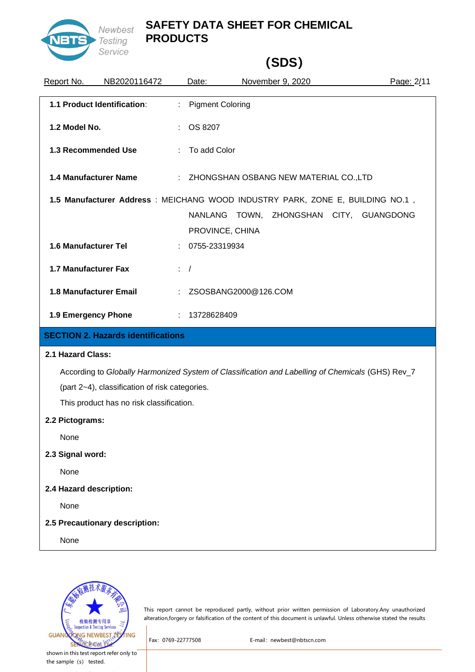

# **(SDS)**

| Report No.              | NB2020116472                                   |              | Date:                            |  | November 9, 2020                                                                                            | Page: 2/11 |
|-------------------------|------------------------------------------------|--------------|----------------------------------|--|-------------------------------------------------------------------------------------------------------------|------------|
|                         | 1.1 Product Identification:                    | t.           | <b>Pigment Coloring</b>          |  |                                                                                                             |            |
| 1.2 Model No.           |                                                |              | OS 8207                          |  |                                                                                                             |            |
| 1.3 Recommended Use     |                                                |              | To add Color                     |  |                                                                                                             |            |
| 1.4 Manufacturer Name   |                                                |              |                                  |  | : ZHONGSHAN OSBANG NEW MATERIAL CO.,LTD                                                                     |            |
|                         |                                                |              | NANLANG TOWN,<br>PROVINCE, CHINA |  | 1.5 Manufacturer Address : MEICHANG WOOD INDUSTRY PARK, ZONE E, BUILDING NO.1,<br>ZHONGSHAN CITY, GUANGDONG |            |
| 1.6 Manufacturer Tel    |                                                |              | 0755-23319934                    |  |                                                                                                             |            |
| 1.7 Manufacturer Fax    |                                                | $\therefore$ |                                  |  |                                                                                                             |            |
| 1.8 Manufacturer Email  |                                                |              | ZSOSBANG2000@126.COM             |  |                                                                                                             |            |
| 1.9 Emergency Phone     |                                                |              | : 13728628409                    |  |                                                                                                             |            |
|                         | <b>SECTION 2. Hazards identifications</b>      |              |                                  |  |                                                                                                             |            |
| 2.1 Hazard Class:       |                                                |              |                                  |  |                                                                                                             |            |
|                         |                                                |              |                                  |  | According to Globally Harmonized System of Classification and Labelling of Chemicals (GHS) Rev_7            |            |
|                         | (part 2~4), classification of risk categories. |              |                                  |  |                                                                                                             |            |
|                         | This product has no risk classification.       |              |                                  |  |                                                                                                             |            |
| 2.2 Pictograms:         |                                                |              |                                  |  |                                                                                                             |            |
| None                    |                                                |              |                                  |  |                                                                                                             |            |
| 2.3 Signal word:        |                                                |              |                                  |  |                                                                                                             |            |
| None                    |                                                |              |                                  |  |                                                                                                             |            |
| 2.4 Hazard description: |                                                |              |                                  |  |                                                                                                             |            |
| None                    |                                                |              |                                  |  |                                                                                                             |            |
|                         | 2.5 Precautionary description:                 |              |                                  |  |                                                                                                             |            |
| None                    |                                                |              |                                  |  |                                                                                                             |            |
|                         |                                                |              |                                  |  |                                                                                                             |            |



This report cannot be reproduced partly, without prior written permission of Laboratory.Any unauthorized alteration,forgery or falsification of the content of this document is unlawful. Unless otherwise stated the results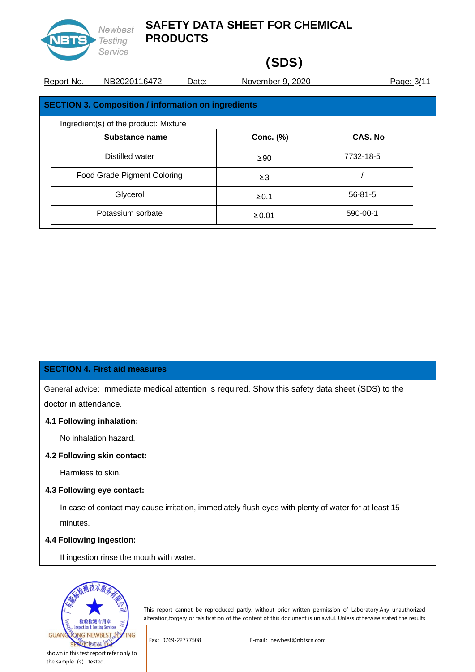

# **(SDS)**

| Report No. | NB2020116472                                        | Date: | November 9, 2020 |                | Page: 3/11 |
|------------|-----------------------------------------------------|-------|------------------|----------------|------------|
|            | SECTION 3. Composition / information on ingredients |       |                  |                |            |
|            | Ingredient(s) of the product: Mixture               |       |                  |                |            |
|            | Substance name                                      |       | Conc. (%)        | <b>CAS. No</b> |            |
|            | Distilled water                                     |       | $\geq 90$        | 7732-18-5      |            |
|            | Food Grade Pigment Coloring                         |       | $\geq$ 3         |                |            |
|            | Glycerol                                            |       | $\geq 0.1$       | $56 - 81 - 5$  |            |

Potassium sorbate  $\geq 0.01$  590-00-1

#### **SECTION 4. First aid measures**

General advice: Immediate medical attention is required. Show this safety data sheet (SDS) to the

doctor in attendance.

#### **4.1 Following inhalation:**

No inhalation hazard.

### **4.2 Following skin contact:**

Harmless to skin.

#### **4.3 Following eye contact:**

In case of contact may cause irritation, immediately flush eyes with plenty of water for at least 15 minutes.

#### **4.4 Following ingestion:**

If ingestion rinse the mouth with water.



This report cannot be reproduced partly, without prior written permission of Laboratory.Any unauthorized alteration,forgery or falsification of the content of this document is unlawful. Unless otherwise stated the results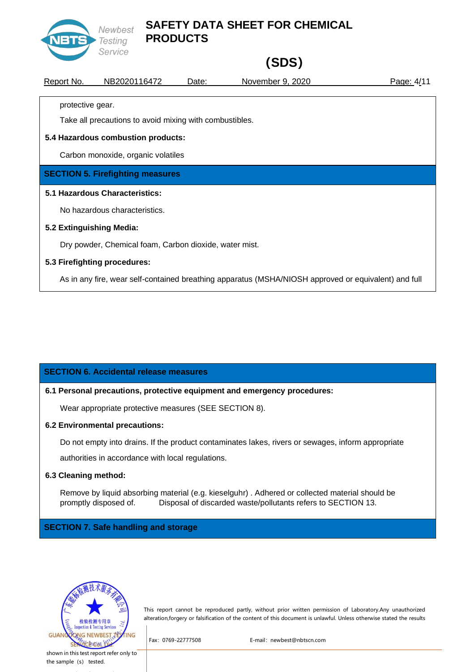

# **(SDS)**

| Report No.                     | NB2020116472                                            | Date: | November 9, 2020                                                                                     | Page: 4/11 |  |  |  |
|--------------------------------|---------------------------------------------------------|-------|------------------------------------------------------------------------------------------------------|------------|--|--|--|
| protective gear.               |                                                         |       |                                                                                                      |            |  |  |  |
|                                | Take all precautions to avoid mixing with combustibles. |       |                                                                                                      |            |  |  |  |
|                                | 5.4 Hazardous combustion products:                      |       |                                                                                                      |            |  |  |  |
|                                | Carbon monoxide, organic volatiles                      |       |                                                                                                      |            |  |  |  |
|                                | <b>SECTION 5. Firefighting measures</b>                 |       |                                                                                                      |            |  |  |  |
| 5.1 Hazardous Characteristics: |                                                         |       |                                                                                                      |            |  |  |  |
| No hazardous characteristics.  |                                                         |       |                                                                                                      |            |  |  |  |
|                                | 5.2 Extinguishing Media:                                |       |                                                                                                      |            |  |  |  |
|                                | Dry powder, Chemical foam, Carbon dioxide, water mist.  |       |                                                                                                      |            |  |  |  |
|                                | 5.3 Firefighting procedures:                            |       |                                                                                                      |            |  |  |  |
|                                |                                                         |       | As in any fire, wear self-contained breathing apparatus (MSHA/NIOSH approved or equivalent) and full |            |  |  |  |

### **SECTION 6. Accidental release measures**

#### **6.1 Personal precautions, protective equipment and emergency procedures:**

Wear appropriate protective measures (SEE SECTION 8).

#### **6.2 Environmental precautions:**

Do not empty into drains. If the product contaminates lakes, rivers or sewages, inform appropriate authorities in accordance with local regulations.

#### **6.3 Cleaning method:**

Remove by liquid absorbing material (e.g. kieselguhr) . Adhered or collected material should be promptly disposed of. Disposal of discarded waste/pollutants refers to SECTION 13.

### **SECTION 7. Safe handling and storage**



This report cannot be reproduced partly, without prior written permission of Laboratory.Any unauthorized alteration,forgery or falsification of the content of this document is unlawful. Unless otherwise stated the results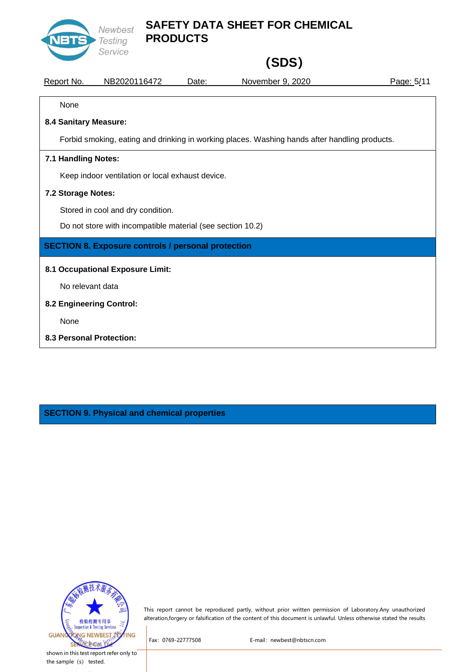

# **(SDS)**

| Report No.               | NB2020116472                                                                                  | Date: | November 9, 2020 | Page: 5/11 |  |  |  |
|--------------------------|-----------------------------------------------------------------------------------------------|-------|------------------|------------|--|--|--|
| None                     |                                                                                               |       |                  |            |  |  |  |
| 8.4 Sanitary Measure:    |                                                                                               |       |                  |            |  |  |  |
|                          | Forbid smoking, eating and drinking in working places. Washing hands after handling products. |       |                  |            |  |  |  |
| 7.1 Handling Notes:      |                                                                                               |       |                  |            |  |  |  |
|                          | Keep indoor ventilation or local exhaust device.                                              |       |                  |            |  |  |  |
| 7.2 Storage Notes:       |                                                                                               |       |                  |            |  |  |  |
|                          | Stored in cool and dry condition.                                                             |       |                  |            |  |  |  |
|                          | Do not store with incompatible material (see section 10.2)                                    |       |                  |            |  |  |  |
|                          | <b>SECTION 8. Exposure controls / personal protection</b>                                     |       |                  |            |  |  |  |
|                          | 8.1 Occupational Exposure Limit:                                                              |       |                  |            |  |  |  |
| No relevant data         |                                                                                               |       |                  |            |  |  |  |
| 8.2 Engineering Control: |                                                                                               |       |                  |            |  |  |  |
| None                     |                                                                                               |       |                  |            |  |  |  |
|                          | 8.3 Personal Protection:                                                                      |       |                  |            |  |  |  |

**SECTION 9. Physical and chemical properties**



This report cannot be reproduced partly, without prior written permission of Laboratory.Any unauthorized alteration,forgery or falsification of the content of this document is unlawful. Unless otherwise stated the results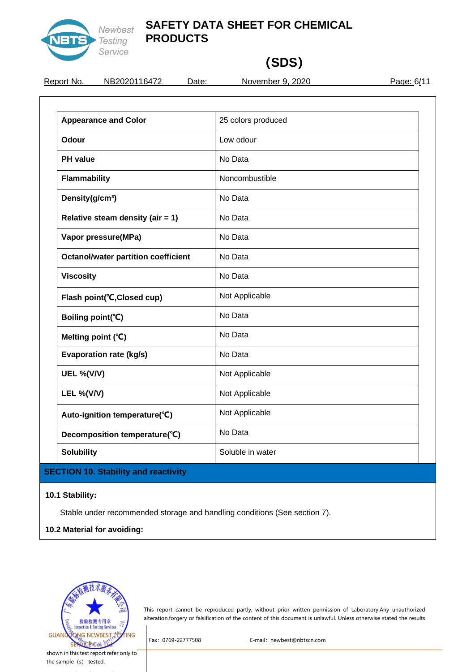

# **(SDS)**

REPORT 16472 Date: November 9, 2020 Page: 6/11

| <b>Appearance and Color</b>                | 25 colors produced |
|--------------------------------------------|--------------------|
| Odour                                      | Low odour          |
| <b>PH</b> value                            | No Data            |
| <b>Flammability</b>                        | Noncombustible     |
| Density(g/cm <sup>3</sup> )                | No Data            |
| Relative steam density (air = $1$ )        | No Data            |
| Vapor pressure(MPa)                        | No Data            |
| <b>Octanol/water partition coefficient</b> | No Data            |
| <b>Viscosity</b>                           | No Data            |
| Flash point(°C, Closed cup)                | Not Applicable     |
| Boiling point(°C)                          | No Data            |
| Melting point (°C)                         | No Data            |
| <b>Evaporation rate (kg/s)</b>             | No Data            |
| <b>UEL %(V/V)</b>                          | Not Applicable     |
| <b>LEL %(V/V)</b>                          | Not Applicable     |
| Auto-ignition temperature(°C)              | Not Applicable     |
| Decomposition temperature(°C)              | No Data            |
| <b>Solubility</b>                          | Soluble in water   |

### **10.1 Stability:**

Stable under recommended storage and handling conditions (See section 7).

### **10.2 Material for avoiding:**



This report cannot be reproduced partly, without prior written permission of Laboratory.Any unauthorized alteration,forgery or falsification of the content of this document is unlawful. Unless otherwise stated the results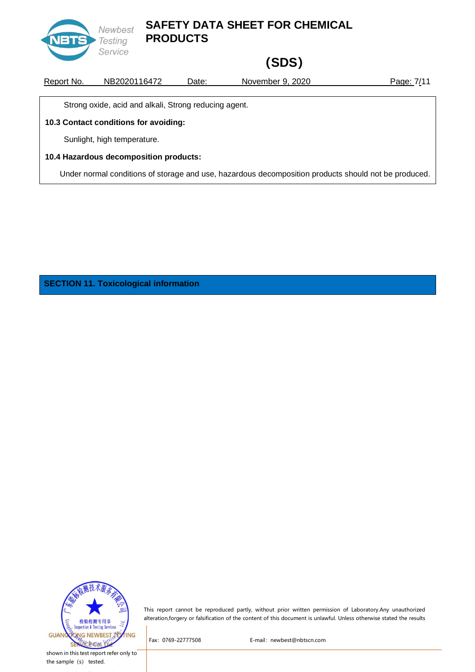

# **(SDS)**

Report No. NB2020116472 Date: November 9, 2020 Page: 7/11

Strong oxide, acid and alkali, Strong reducing agent.

#### **10.3 Contact conditions for avoiding:**

Sunlight, high temperature.

#### **10.4 Hazardous decomposition products:**

Under normal conditions of storage and use, hazardous decomposition products should not be produced.

**SECTION 11. Toxicological information**



This report cannot be reproduced partly, without prior written permission of Laboratory.Any unauthorized alteration,forgery or falsification of the content of this document is unlawful. Unless otherwise stated the results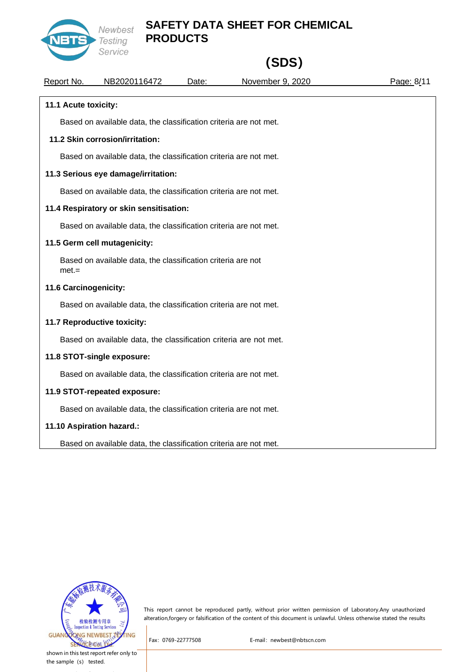

# **(SDS)**

| Report No.            | NB2020116472                                                      | Date: | November 9, 2020 | Page: 8/11 |
|-----------------------|-------------------------------------------------------------------|-------|------------------|------------|
| 11.1 Acute toxicity:  |                                                                   |       |                  |            |
|                       | Based on available data, the classification criteria are not met. |       |                  |            |
|                       | 11.2 Skin corrosion/irritation:                                   |       |                  |            |
|                       | Based on available data, the classification criteria are not met. |       |                  |            |
|                       | 11.3 Serious eye damage/irritation:                               |       |                  |            |
|                       | Based on available data, the classification criteria are not met. |       |                  |            |
|                       | 11.4 Respiratory or skin sensitisation:                           |       |                  |            |
|                       | Based on available data, the classification criteria are not met. |       |                  |            |
|                       | 11.5 Germ cell mutagenicity:                                      |       |                  |            |
| $met =$               | Based on available data, the classification criteria are not      |       |                  |            |
| 11.6 Carcinogenicity: |                                                                   |       |                  |            |
|                       | Based on available data, the classification criteria are not met. |       |                  |            |
|                       | 11.7 Reproductive toxicity:                                       |       |                  |            |
|                       | Based on available data, the classification criteria are not met. |       |                  |            |
|                       | 11.8 STOT-single exposure:                                        |       |                  |            |
|                       | Based on available data, the classification criteria are not met. |       |                  |            |
|                       | 11.9 STOT-repeated exposure:                                      |       |                  |            |
|                       | Based on available data, the classification criteria are not met. |       |                  |            |
|                       | 11.10 Aspiration hazard.:                                         |       |                  |            |
|                       | Based on available data, the classification criteria are not met. |       |                  |            |



This report cannot be reproduced partly, without prior written permission of Laboratory.Any unauthorized alteration,forgery or falsification of the content of this document is unlawful. Unless otherwise stated the results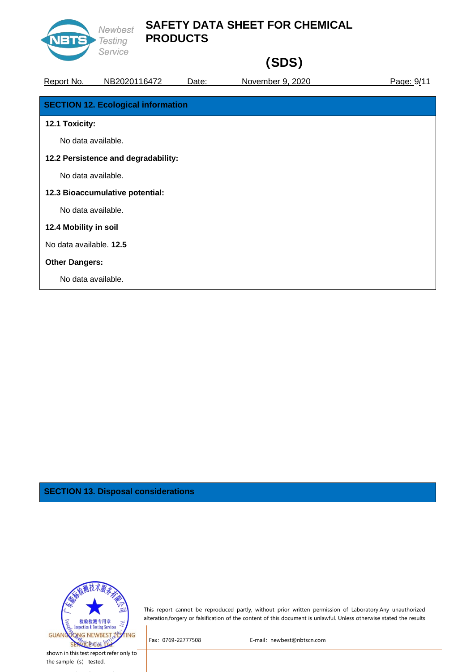

# **(SDS)**

| Report No.              | NB2020116472                              | Date: | November 9, 2020 | Page: 9/11 |
|-------------------------|-------------------------------------------|-------|------------------|------------|
|                         |                                           |       |                  |            |
|                         | <b>SECTION 12. Ecological information</b> |       |                  |            |
| 12.1 Toxicity:          |                                           |       |                  |            |
| No data available.      |                                           |       |                  |            |
|                         | 12.2 Persistence and degradability:       |       |                  |            |
| No data available.      |                                           |       |                  |            |
|                         | 12.3 Bioaccumulative potential:           |       |                  |            |
| No data available.      |                                           |       |                  |            |
| 12.4 Mobility in soil   |                                           |       |                  |            |
| No data available. 12.5 |                                           |       |                  |            |
| <b>Other Dangers:</b>   |                                           |       |                  |            |
| No data available.      |                                           |       |                  |            |

### **SECTION 13. Disposal considerations**



This report cannot be reproduced partly, without prior written permission of Laboratory.Any unauthorized alteration,forgery or falsification of the content of this document is unlawful. Unless otherwise stated the results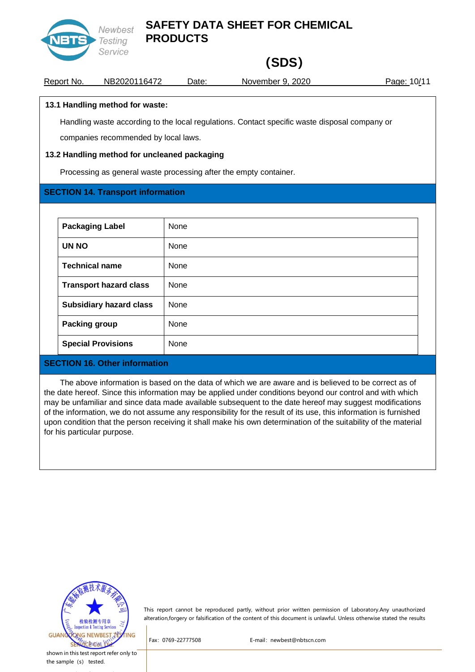

# **(SDS)**

Report No. NB2020116472 Date: November 9, 2020 Page: 10/11

### **13.1 Handling method for waste:**

Handling waste according to the local regulations. Contact specific waste disposal company or companies recommended by local laws.

### **13.2 Handling method for uncleaned packaging**

Processing as general waste processing after the empty container.

### **SECTION 14. Transport information**

| <b>Packaging Label</b>         | None |
|--------------------------------|------|
| UN NO                          | None |
| <b>Technical name</b>          | None |
| <b>Transport hazard class</b>  | None |
| <b>Subsidiary hazard class</b> | None |
| <b>Packing group</b>           | None |
| <b>Special Provisions</b>      | None |

### **SECTION 16. Other information**

The above information is based on the data of which we are aware and is believed to be correct as of the date hereof. Since this information may be applied under conditions beyond our control and with which may be unfamiliar and since data made available subsequent to the date hereof may suggest modifications of the information, we do not assume any responsibility for the result of its use, this information is furnished upon condition that the person receiving it shall make his own determination of the suitability of the material for his particular purpose.



This report cannot be reproduced partly, without prior written permission of Laboratory.Any unauthorized alteration,forgery or falsification of the content of this document is unlawful. Unless otherwise stated the results